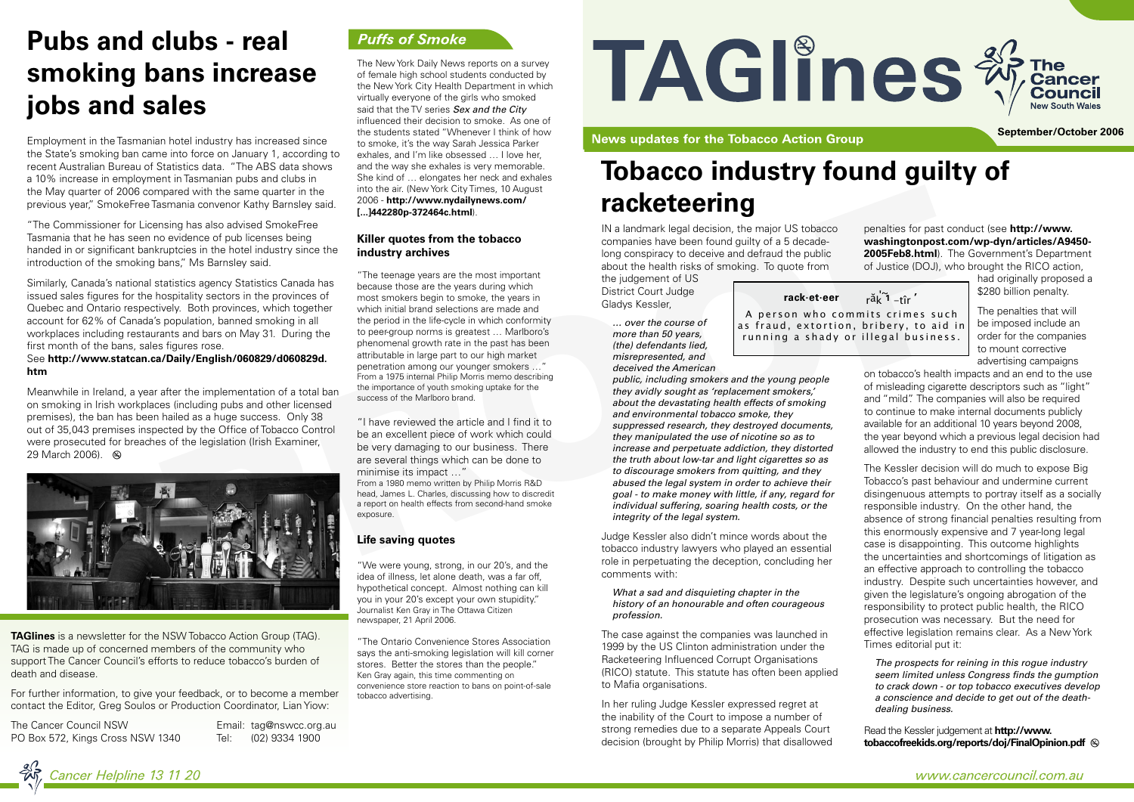IN a landmark legal decision, the major US tobacco companies have been found guilty of a 5 decadelong conspiracy to deceive and defraud the public about the health risks of smoking. To quote from

the judgement of US District Court Judge Gladys Kessler,

*… over the course of more than 50 years, (the) defendants lied, misrepresented, and deceived the American* 

as fraud, extortion, bribery, to aid in running a shady or illegal business.

*public, including smokers and the young people they avidly sought as 'replacement smokers,' about the devastating health effects of smoking and environmental tobacco smoke, they suppressed research, they destroyed documents, they manipulated the use of nicotine so as to increase and perpetuate addiction, they distorted the truth about low-tar and light cigarettes so as to discourage smokers from quitting, and they abused the legal system in order to achieve their goal - to make money with little, if any, regard for individual suffering, soaring health costs, or the integrity of the legal system.*

had originally proposed a \$280 billion penalty.

Judge Kessler also didn't mince words about the tobacco industry lawyers who played an essential role in perpetuating the deception, concluding her comments with:

### *What a sad and disquieting chapter in the history of an honourable and often courageous profession.*

The case against the companies was launched in 1999 by the US Clinton administration under the Racketeering Influenced Corrupt Organisations (RICO) statute. This statute has often been applied to Mafia organisations.

In her ruling Judge Kessler expressed regret at the inability of the Court to impose a number of strong remedies due to a separate Appeals Court decision (brought by Philip Morris) that disallowed





penalties for past conduct (see **http://www. washingtonpost.com/wp-dyn/articles/A9450- 2005Feb8.html**). The Government's Department of Justice (DOJ), who brought the RICO action,

"The Commissioner for Licensing has also advised SmokeFree Tasmania that he has seen no evidence of pub licenses being handed in or significant bankruptcies in the hotel industry since the introduction of the smoking bans," Ms Barnsley said.

> The penalties that will be imposed include an order for the companies to mount corrective advertising campaigns

on tobacco's health impacts and an end to the use of misleading cigarette descriptors such as "light" and "mild". The companies will also be required to continue to make internal documents publicly available for an additional 10 years beyond 2008, the year beyond which a previous legal decision had allowed the industry to end this public disclosure.

The Kessler decision will do much to expose Big Tobacco's past behaviour and undermine current disingenuous attempts to portray itself as a socially responsible industry. On the other hand, the absence of strong financial penalties resulting from this enormously expensive and 7 year-long legal case is disappointing. This outcome highlights the uncertainties and shortcomings of litigation as an effective approach to controlling the tobacco industry. Despite such uncertainties however, and given the legislature's ongoing abrogation of the responsibility to protect public health, the RICO prosecution was necessary. But the need for effective legislation remains clear. As a New York Times editorial put it:

*The prospects for reining in this rogue industry seem limited unless Congress finds the gumption to crack down - or top tobacco executives develop a conscience and decide to get out of the deathdealing business.*

Read the Kessler judgement at **http://www. tobaccofreekids.org/reports/doj/FinalOpinion.pdf**

# **Tobacco industry found guilty of racketeering**

Employment in the Tasmanian hotel industry has increased since the State's smoking ban came into force on January 1, according to recent Australian Bureau of Statistics data. "The ABS data shows a 10% increase in employment in Tasmanian pubs and clubs in the May quarter of 2006 compared with the same quarter in the previous year," SmokeFree Tasmania convenor Kathy Barnsley said.

> A person who commits crimes such ' <sup>~</sup> <sup>r</sup>ăk **1** -tîr **rack ' .et.eer**

Similarly, Canada's national statistics agency Statistics Canada has issued sales figures for the hospitality sectors in the provinces of Quebec and Ontario respectively. Both provinces, which together account for 62% of Canada's population, banned smoking in all workplaces including restaurants and bars on May 31. During the first month of the bans, sales figures rose.

### See **http://www.statcan.ca/Daily/English/060829/d060829d. htm**

Meanwhile in Ireland, a year after the implementation of a total ban on smoking in Irish workplaces (including pubs and other licensed premises), the ban has been hailed as a huge success. Only 38 out of 35,043 premises inspected by the Office of Tobacco Control were prosecuted for breaches of the legislation (Irish Examiner, 29 March 2006).

The New York Daily News reports on a survey of female high school students conducted by the New York City Health Department in which virtually everyone of the girls who smoked said that the TV series *Sex and the City* influenced their decision to smoke. As one of the students stated "Whenever I think of how to smoke, it's the way Sarah Jessica Parker exhales, and I'm like obsessed … I love her, and the way she exhales is very memorable. She kind of … elongates her neck and exhales into the air. (New York City Times, 10 August 2006 - **http://www.nydailynews.com/ [...]442280p-372464c.html**).

### **Killer quotes from the tobacco industry archives**

"The teenage years are the most important because those are the years during which most smokers begin to smoke, the years in which initial brand selections are made and the period in the life-cycle in which conformity to peer-group norms is greatest … Marlboro's phenomenal growth rate in the past has been attributable in large part to our high market penetration among our younger smokers …" From a 1975 internal Philip Morris memo describing the importance of youth smoking uptake for the success of the Marlboro brand.

"I have reviewed the article and I find it to be an excellent piece of work which could be very damaging to our business. There are several things which can be done to minimise its impact …"

From a 1980 memo written by Philip Morris R&D head, James L. Charles, discussing how to discredit a report on health effects from second-hand smoke exposure.

### **Life saving quotes**

"We were young, strong, in our 20's, and the idea of illness, let alone death, was a far off, hypothetical concept. Almost nothing can kill you in your 20's except your own stupidity." Journalist Ken Gray in The Ottawa Citizen newspaper, 21 April 2006.

"The Ontario Convenience Stores Association says the anti-smoking legislation will kill corner stores. Better the stores than the people." Ken Gray again, this time commenting on convenience store reaction to bans on point-of-sale tobacco advertising.

# TAGIInes \*

**News updates for the Tobacco Action Group** 

**September/October 2006**

**TAGlines** is a newsletter for the NSW Tobacco Action Group (TAG). TAG is made up of concerned members of the community who support The Cancer Council's efforts to reduce tobacco's burden of death and disease.

For further information, to give your feedback, or to become a member contact the Editor, Greg Soulos or Production Coordinator, Lian Yiow:

The Cancer Council NSW Email: tag@nswcc.org.au PO Box 572, Kings Cross NSW 1340 Tel: (02) 9334 1900

### **Puffs of Smoke**

# **Pubs and clubs - real smoking bans increase jobs and sales**